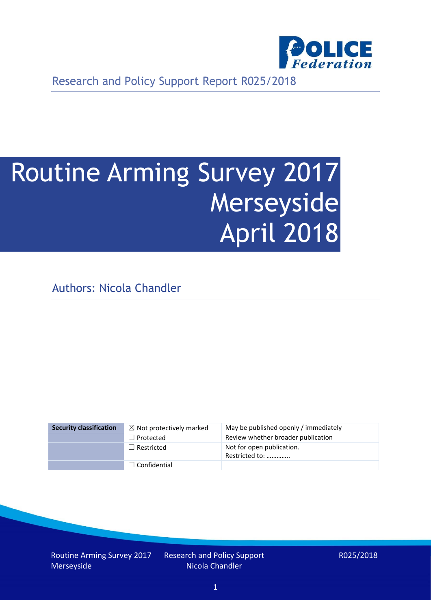

Research and Policy Support Report R025/2018

# Routine Arming Survey 2017 Merseyside April 2018

Authors: Nicola Chandler

| <b>Security classification</b> | $\boxtimes$ Not protectively marked | May be published openly / immediately       |
|--------------------------------|-------------------------------------|---------------------------------------------|
|                                | $\Box$ Protected                    | Review whether broader publication          |
|                                | $\Box$ Restricted                   | Not for open publication.<br>Restricted to: |
|                                | $\Box$ Confidential                 |                                             |

Routine Arming Survey 2017 Merseyside

Research and Policy Support Nicola Chandler

R025/2018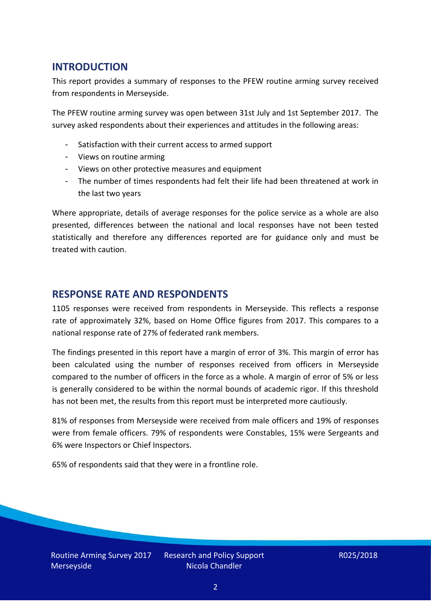## **INTRODUCTION**

This report provides a summary of responses to the PFEW routine arming survey received from respondents in Merseyside.

The PFEW routine arming survey was open between 31st July and 1st September 2017. The survey asked respondents about their experiences and attitudes in the following areas:

- Satisfaction with their current access to armed support
- Views on routine arming
- Views on other protective measures and equipment
- The number of times respondents had felt their life had been threatened at work in the last two years

Where appropriate, details of average responses for the police service as a whole are also presented, differences between the national and local responses have not been tested statistically and therefore any differences reported are for guidance only and must be treated with caution.

## **RESPONSE RATE AND RESPONDENTS**

1105 responses were received from respondents in Merseyside. This reflects a response rate of approximately 32%, based on Home Office figures from 2017. This compares to a national response rate of 27% of federated rank members.

The findings presented in this report have a margin of error of 3%. This margin of error has been calculated using the number of responses received from officers in Merseyside compared to the number of officers in the force as a whole. A margin of error of 5% or less is generally considered to be within the normal bounds of academic rigor. If this threshold has not been met, the results from this report must be interpreted more cautiously.

81% of responses from Merseyside were received from male officers and 19% of responses were from female officers. 79% of respondents were Constables, 15% were Sergeants and 6% were Inspectors or Chief Inspectors.

65% of respondents said that they were in a frontline role.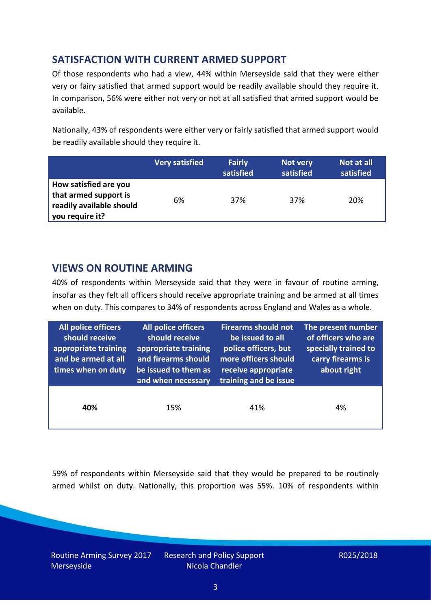## **SATISFACTION WITH CURRENT ARMED SUPPORT**

Of those respondents who had a view, 44% within Merseyside said that they were either very or fairy satisfied that armed support would be readily available should they require it. In comparison, 56% were either not very or not at all satisfied that armed support would be available.

Nationally, 43% of respondents were either very or fairly satisfied that armed support would be readily available should they require it.

|                                                                                               | <b>Very satisfied</b> | <b>Fairly</b><br>satisfied | Not very<br>satisfied | Not at all<br>satisfied |
|-----------------------------------------------------------------------------------------------|-----------------------|----------------------------|-----------------------|-------------------------|
| How satisfied are you<br>that armed support is<br>readily available should<br>you require it? | 6%                    | 37%                        | 37%                   | 20%                     |

## **VIEWS ON ROUTINE ARMING**

40% of respondents within Merseyside said that they were in favour of routine arming, insofar as they felt all officers should receive appropriate training and be armed at all times when on duty. This compares to 34% of respondents across England and Wales as a whole.

| <b>All police officers</b><br>should receive<br>appropriate training<br>and be armed at all<br>times when on duty | All police officers<br>should receive<br>appropriate training<br>and firearms should<br>be issued to them as<br>and when necessary | <b>Firearms should not</b><br>be issued to all<br>police officers, but<br>more officers should<br>receive appropriate<br>training and be issue | The present number<br>of officers who are<br>specially trained to<br>carry firearms is<br>about right |  |
|-------------------------------------------------------------------------------------------------------------------|------------------------------------------------------------------------------------------------------------------------------------|------------------------------------------------------------------------------------------------------------------------------------------------|-------------------------------------------------------------------------------------------------------|--|
| 40%                                                                                                               | 15%                                                                                                                                | 41%                                                                                                                                            | 4%                                                                                                    |  |

59% of respondents within Merseyside said that they would be prepared to be routinely armed whilst on duty. Nationally, this proportion was 55%. 10% of respondents within

Routine Arming Survey 2017 Merseyside

Research and Policy Support Nicola Chandler

R025/2018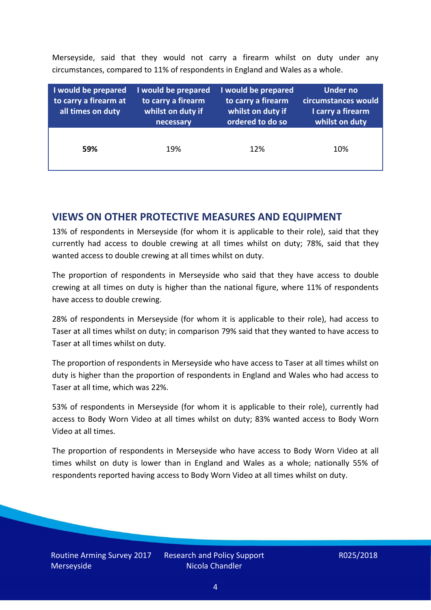Merseyside, said that they would not carry a firearm whilst on duty under any circumstances, compared to 11% of respondents in England and Wales as a whole.

| I would be prepared<br>to carry a firearm at<br>all times on duty | I would be prepared<br>to carry a firearm<br>whilst on duty if<br>necessary | I would be prepared<br>to carry a firearm<br>whilst on duty if<br>ordered to do so | Under no<br>circumstances would<br>I carry a firearm<br>whilst on duty |
|-------------------------------------------------------------------|-----------------------------------------------------------------------------|------------------------------------------------------------------------------------|------------------------------------------------------------------------|
| 59%                                                               | 19%                                                                         | 12%                                                                                | 10%                                                                    |

## **VIEWS ON OTHER PROTECTIVE MEASURES AND EQUIPMENT**

13% of respondents in Merseyside (for whom it is applicable to their role), said that they currently had access to double crewing at all times whilst on duty; 78%, said that they wanted access to double crewing at all times whilst on duty.

The proportion of respondents in Merseyside who said that they have access to double crewing at all times on duty is higher than the national figure, where 11% of respondents have access to double crewing.

28% of respondents in Merseyside (for whom it is applicable to their role), had access to Taser at all times whilst on duty; in comparison 79% said that they wanted to have access to Taser at all times whilst on duty.

The proportion of respondents in Merseyside who have access to Taser at all times whilst on duty is higher than the proportion of respondents in England and Wales who had access to Taser at all time, which was 22%.

53% of respondents in Merseyside (for whom it is applicable to their role), currently had access to Body Worn Video at all times whilst on duty; 83% wanted access to Body Worn Video at all times.

The proportion of respondents in Merseyside who have access to Body Worn Video at all times whilst on duty is lower than in England and Wales as a whole; nationally 55% of respondents reported having access to Body Worn Video at all times whilst on duty.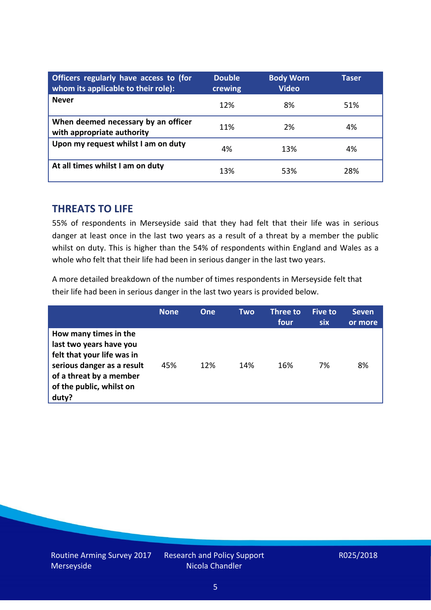| Officers regularly have access to (for<br>whom its applicable to their role): | <b>Double</b><br>crewing | <b>Body Worn</b><br><b>Video</b> | Taser |
|-------------------------------------------------------------------------------|--------------------------|----------------------------------|-------|
| <b>Never</b>                                                                  | 12%                      | 8%                               | 51%   |
| When deemed necessary by an officer<br>with appropriate authority             | 11%                      | 2%                               | 4%    |
| Upon my request whilst I am on duty                                           | 4%                       | 13%                              | 4%    |
| At all times whilst I am on duty                                              | 13%                      | 53%                              | 28%   |

#### **THREATS TO LIFE**

55% of respondents in Merseyside said that they had felt that their life was in serious danger at least once in the last two years as a result of a threat by a member the public whilst on duty. This is higher than the 54% of respondents within England and Wales as a whole who felt that their life had been in serious danger in the last two years.

A more detailed breakdown of the number of times respondents in Merseyside felt that their life had been in serious danger in the last two years is provided below.

|                                                                                                                                                                              | <b>None</b> | One | Two | Three to<br>four | <b>Five to</b><br>six | <b>Seven</b><br>or more |
|------------------------------------------------------------------------------------------------------------------------------------------------------------------------------|-------------|-----|-----|------------------|-----------------------|-------------------------|
| How many times in the<br>last two years have you<br>felt that your life was in<br>serious danger as a result<br>of a threat by a member<br>of the public, whilst on<br>duty? | 45%         | 12% | 14% | 16%              | 7%                    | 8%                      |

Research and Policy Support Nicola Chandler